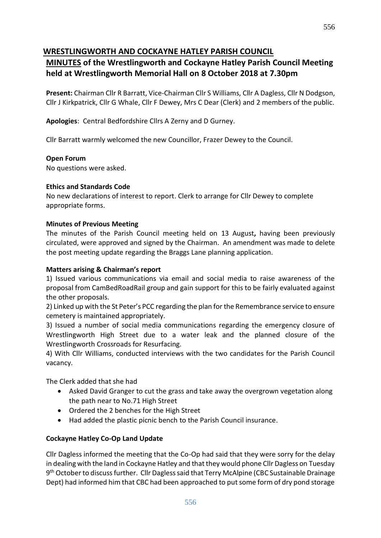## **WRESTLINGWORTH AND COCKAYNE HATLEY PARISH COUNCIL**

## **MINUTES of the Wrestlingworth and Cockayne Hatley Parish Council Meeting held at Wrestlingworth Memorial Hall on 8 October 2018 at 7.30pm**

**Present:** Chairman Cllr R Barratt, Vice-Chairman Cllr S Williams, Cllr A Dagless, Cllr N Dodgson, Cllr J Kirkpatrick, Cllr G Whale, Cllr F Dewey, Mrs C Dear (Clerk) and 2 members of the public.

**Apologies**: Central Bedfordshire Cllrs A Zerny and D Gurney.

Cllr Barratt warmly welcomed the new Councillor, Frazer Dewey to the Council.

#### **Open Forum**

No questions were asked.

#### **Ethics and Standards Code**

No new declarations of interest to report. Clerk to arrange for Cllr Dewey to complete appropriate forms.

#### **Minutes of Previous Meeting**

The minutes of the Parish Council meeting held on 13 August**,** having been previously circulated, were approved and signed by the Chairman. An amendment was made to delete the post meeting update regarding the Braggs Lane planning application.

#### **Matters arising & Chairman's report**

1) Issued various communications via email and social media to raise awareness of the proposal from CamBedRoadRail group and gain support for this to be fairly evaluated against the other proposals.

2) Linked up with the St Peter's PCC regarding the plan for the Remembrance service to ensure cemetery is maintained appropriately.

3) Issued a number of social media communications regarding the emergency closure of Wrestlingworth High Street due to a water leak and the planned closure of the Wrestlingworth Crossroads for Resurfacing.

4) With Cllr Williams, conducted interviews with the two candidates for the Parish Council vacancy.

The Clerk added that she had

- Asked David Granger to cut the grass and take away the overgrown vegetation along the path near to No.71 High Street
- Ordered the 2 benches for the High Street
- Had added the plastic picnic bench to the Parish Council insurance.

#### **Cockayne Hatley Co-Op Land Update**

Cllr Dagless informed the meeting that the Co-Op had said that they were sorry for the delay in dealing with the land in Cockayne Hatley and that they would phone Cllr Dagless on Tuesday 9<sup>th</sup> October to discuss further. Cllr Dagless said that Terry McAlpine (CBC Sustainable Drainage Dept) had informed him that CBC had been approached to put some form of dry pond storage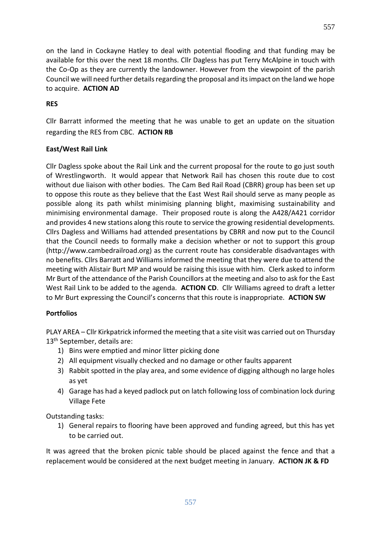on the land in Cockayne Hatley to deal with potential flooding and that funding may be available for this over the next 18 months. Cllr Dagless has put Terry McAlpine in touch with the Co-Op as they are currently the landowner. However from the viewpoint of the parish Council we will need further details regarding the proposal and its impact on the land we hope to acquire. **ACTION AD**

#### **RES**

Cllr Barratt informed the meeting that he was unable to get an update on the situation regarding the RES from CBC. **ACTION RB**

#### **East/West Rail Link**

Cllr Dagless spoke about the Rail Link and the current proposal for the route to go just south of Wrestlingworth. It would appear that Network Rail has chosen this route due to cost without due liaison with other bodies. The Cam Bed Rail Road (CBRR) group has been set up to oppose this route as they believe that the East West Rail should serve as many people as possible along its path whilst minimising planning blight, maximising sustainability and minimising environmental damage. Their proposed route is along the A428/A421 corridor and provides 4 new stations along this route to service the growing residential developments. Cllrs Dagless and Williams had attended presentations by CBRR and now put to the Council that the Council needs to formally make a decision whether or not to support this group (http://www.cambedrailroad.org) as the current route has considerable disadvantages with no benefits. Cllrs Barratt and Williams informed the meeting that they were due to attend the meeting with Alistair Burt MP and would be raising this issue with him. Clerk asked to inform Mr Burt of the attendance of the Parish Councillors at the meeting and also to ask for the East West Rail Link to be added to the agenda. **ACTION CD**. Cllr Williams agreed to draft a letter to Mr Burt expressing the Council's concerns that this route is inappropriate. **ACTION SW**

#### **Portfolios**

PLAY AREA – Cllr Kirkpatrick informed the meeting that a site visit was carried out on Thursday 13<sup>th</sup> September, details are:

- 1) Bins were emptied and minor litter picking done
- 2) All equipment visually checked and no damage or other faults apparent
- 3) Rabbit spotted in the play area, and some evidence of digging although no large holes as yet
- 4) Garage has had a keyed padlock put on latch following loss of combination lock during Village Fete

Outstanding tasks:

1) General repairs to flooring have been approved and funding agreed, but this has yet to be carried out.

It was agreed that the broken picnic table should be placed against the fence and that a replacement would be considered at the next budget meeting in January. **ACTION JK & FD**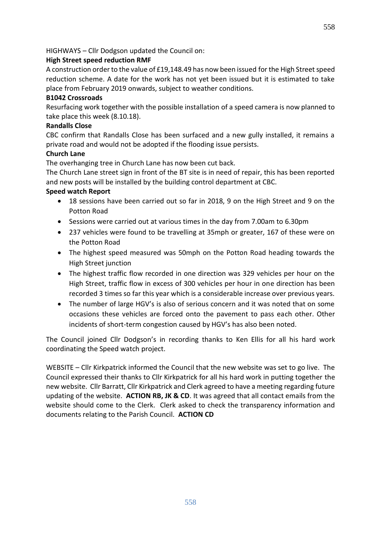#### **High Street speed reduction RMF**

A construction order to the value of £19,148.49 has now been issued for the High Street speed reduction scheme. A date for the work has not yet been issued but it is estimated to take place from February 2019 onwards, subject to weather conditions.

#### **B1042 Crossroads**

Resurfacing work together with the possible installation of a speed camera is now planned to take place this week (8.10.18).

#### **Randalls Close**

CBC confirm that Randalls Close has been surfaced and a new gully installed, it remains a private road and would not be adopted if the flooding issue persists.

#### **Church Lane**

The overhanging tree in Church Lane has now been cut back.

The Church Lane street sign in front of the BT site is in need of repair, this has been reported and new posts will be installed by the building control department at CBC.

#### **Speed watch Report**

- 18 sessions have been carried out so far in 2018, 9 on the High Street and 9 on the Potton Road
- Sessions were carried out at various times in the day from 7.00am to 6.30pm
- 237 vehicles were found to be travelling at 35mph or greater, 167 of these were on the Potton Road
- The highest speed measured was 50mph on the Potton Road heading towards the High Street junction
- The highest traffic flow recorded in one direction was 329 vehicles per hour on the High Street, traffic flow in excess of 300 vehicles per hour in one direction has been recorded 3 times so far this year which is a considerable increase over previous years.
- The number of large HGV's is also of serious concern and it was noted that on some occasions these vehicles are forced onto the pavement to pass each other. Other incidents of short-term congestion caused by HGV's has also been noted.

The Council joined Cllr Dodgson's in recording thanks to Ken Ellis for all his hard work coordinating the Speed watch project.

WEBSITE – Cllr Kirkpatrick informed the Council that the new website was set to go live. The Council expressed their thanks to Cllr Kirkpatrick for all his hard work in putting together the new website. Cllr Barratt, Cllr Kirkpatrick and Clerk agreed to have a meeting regarding future updating of the website. **ACTION RB, JK & CD**. It was agreed that all contact emails from the website should come to the Clerk. Clerk asked to check the transparency information and documents relating to the Parish Council. **ACTION CD**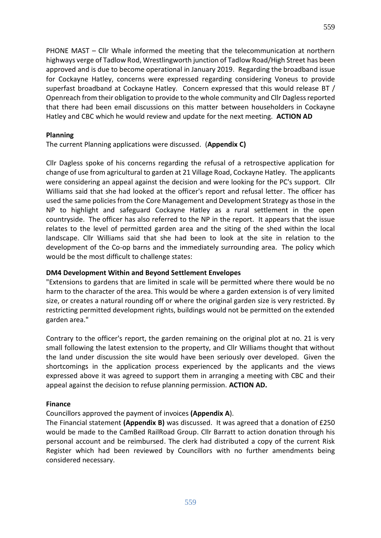PHONE MAST – Cllr Whale informed the meeting that the telecommunication at northern highways verge of Tadlow Rod, Wrestlingworth junction of Tadlow Road/High Street has been approved and is due to become operational in January 2019. Regarding the broadband issue for Cockayne Hatley, concerns were expressed regarding considering Voneus to provide superfast broadband at Cockayne Hatley. Concern expressed that this would release BT / Openreach from their obligation to provide to the whole community and Cllr Dagless reported that there had been email discussions on this matter between householders in Cockayne Hatley and CBC which he would review and update for the next meeting. **ACTION AD**

#### **Planning**

The current Planning applications were discussed. (**Appendix C)**

Cllr Dagless spoke of his concerns regarding the refusal of a retrospective application for change of use from agricultural to garden at 21 Village Road, Cockayne Hatley. The applicants were considering an appeal against the decision and were looking for the PC's support. Cllr Williams said that she had looked at the officer's report and refusal letter. The officer has used the same policies from the Core Management and Development Strategy as those in the NP to highlight and safeguard Cockayne Hatley as a rural settlement in the open countryside. The officer has also referred to the NP in the report. It appears that the issue relates to the level of permitted garden area and the siting of the shed within the local landscape. Cllr Williams said that she had been to look at the site in relation to the development of the Co-op barns and the immediately surrounding area. The policy which would be the most difficult to challenge states:

#### **DM4 Development Within and Beyond Settlement Envelopes**

"Extensions to gardens that are limited in scale will be permitted where there would be no harm to the character of the area. This would be where a garden extension is of very limited size, or creates a natural rounding off or where the original garden size is very restricted. By restricting permitted development rights, buildings would not be permitted on the extended garden area."

Contrary to the officer's report, the garden remaining on the original plot at no. 21 is very small following the latest extension to the property, and Cllr Williams thought that without the land under discussion the site would have been seriously over developed. Given the shortcomings in the application process experienced by the applicants and the views expressed above it was agreed to support them in arranging a meeting with CBC and their appeal against the decision to refuse planning permission. **ACTION AD.**

#### **Finance**

#### Councillors approved the payment of invoices **(Appendix A**).

The Financial statement **(Appendix B)** was discussed. It was agreed that a donation of £250 would be made to the CamBed RailRoad Group. Cllr Barratt to action donation through his personal account and be reimbursed. The clerk had distributed a copy of the current Risk Register which had been reviewed by Councillors with no further amendments being considered necessary.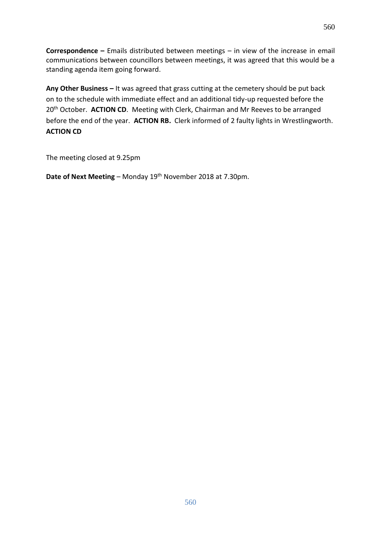**Correspondence –** Emails distributed between meetings – in view of the increase in email communications between councillors between meetings, it was agreed that this would be a standing agenda item going forward.

**Any Other Business –** It was agreed that grass cutting at the cemetery should be put back on to the schedule with immediate effect and an additional tidy-up requested before the 20<sup>th</sup> October. **ACTION CD**. Meeting with Clerk, Chairman and Mr Reeves to be arranged before the end of the year. **ACTION RB.** Clerk informed of 2 faulty lights in Wrestlingworth. **ACTION CD**

The meeting closed at 9.25pm

**Date of Next Meeting** – Monday 19th November 2018 at 7.30pm.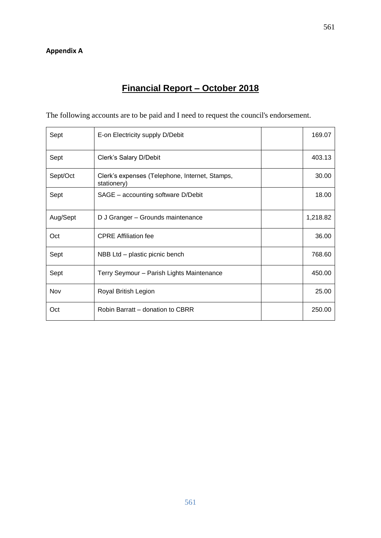# **Financial Report – October 2018**

The following accounts are to be paid and I need to request the council's endorsement.

| Sept     | E-on Electricity supply D/Debit                               | 169.07   |
|----------|---------------------------------------------------------------|----------|
| Sept     | Clerk's Salary D/Debit                                        | 403.13   |
| Sept/Oct | Clerk's expenses (Telephone, Internet, Stamps,<br>stationery) | 30.00    |
| Sept     | SAGE - accounting software D/Debit                            | 18.00    |
| Aug/Sept | D J Granger - Grounds maintenance                             | 1,218.82 |
| Oct      | <b>CPRE Affiliation fee</b>                                   | 36.00    |
| Sept     | NBB Ltd - plastic picnic bench                                | 768.60   |
| Sept     | Terry Seymour - Parish Lights Maintenance                     | 450.00   |
| Nov      | Royal British Legion                                          | 25.00    |
| Oct      | Robin Barratt - donation to CBRR                              | 250.00   |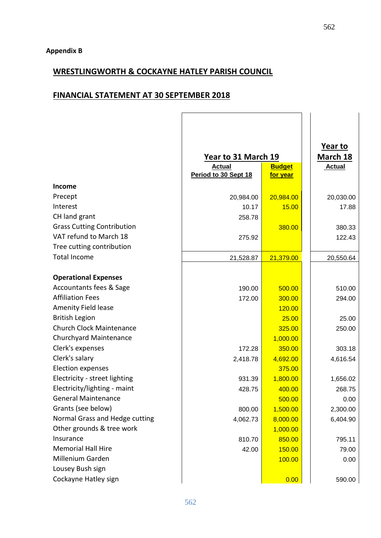## **WRESTLINGWORTH & COCKAYNE HATLEY PARISH COUNCIL**

## **FINANCIAL STATEMENT AT 30 SEPTEMBER 2018**

|                                   |                      |               | Year to       |
|-----------------------------------|----------------------|---------------|---------------|
|                                   | Year to 31 March 19  |               | March 18      |
|                                   | <b>Actual</b>        | <b>Budget</b> | <b>Actual</b> |
|                                   | Period to 30 Sept 18 | for year      |               |
| Income                            |                      |               |               |
| Precept                           | 20,984.00            | 20,984.00     | 20,030.00     |
| Interest                          | 10.17                | 15.00         | 17.88         |
| CH land grant                     | 258.78               |               |               |
| <b>Grass Cutting Contribution</b> |                      | 380.00        | 380.33        |
| VAT refund to March 18            | 275.92               |               | 122.43        |
| Tree cutting contribution         |                      |               |               |
| <b>Total Income</b>               | 21,528.87            | 21,379.00     | 20,550.64     |
|                                   |                      |               |               |
| <b>Operational Expenses</b>       |                      |               |               |
| Accountants fees & Sage           | 190.00               | 500.00        | 510.00        |
| <b>Affiliation Fees</b>           | 172.00               | 300.00        | 294.00        |
| <b>Amenity Field lease</b>        |                      | 120.00        |               |
| <b>British Legion</b>             |                      | 25.00         | 25.00         |
| <b>Church Clock Maintenance</b>   |                      | 325.00        | 250.00        |
| <b>Churchyard Maintenance</b>     |                      | 1,000.00      |               |
| Clerk's expenses                  | 172.28               | 350.00        | 303.18        |
| Clerk's salary                    | 2,418.78             | 4,692.00      | 4,616.54      |
| <b>Election expenses</b>          |                      | 375.00        |               |
| Electricity - street lighting     | 931.39               | 1,800.00      | 1,656.02      |
| Electricity/lighting - maint      | 428.75               | 400.00        | 268.75        |
| <b>General Maintenance</b>        |                      | 500.00        | 0.00          |
| Grants (see below)                | 800.00               | 1,500.00      | 2,300.00      |
| Normal Grass and Hedge cutting    | 4,062.73             | 8,000.00      | 6,404.90      |
| Other grounds & tree work         |                      | 1,000.00      |               |
| Insurance                         | 810.70               | 850.00        | 795.11        |
| <b>Memorial Hall Hire</b>         | 42.00                | 150.00        | 79.00         |
| Millenium Garden                  |                      | 100.00        | 0.00          |
| Lousey Bush sign                  |                      |               |               |
| Cockayne Hatley sign              |                      | 0.00          | 590.00        |
|                                   |                      |               |               |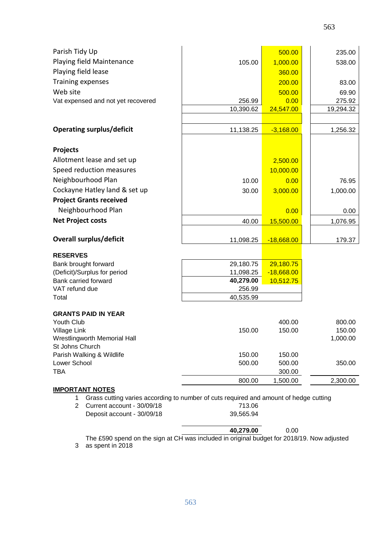| Parish Tidy Up                                                                                                       |           | 500.00       | 235.00             |  |  |
|----------------------------------------------------------------------------------------------------------------------|-----------|--------------|--------------------|--|--|
| Playing field Maintenance                                                                                            | 105.00    | 1,000.00     | 538.00             |  |  |
| Playing field lease                                                                                                  |           | 360.00       |                    |  |  |
| <b>Training expenses</b>                                                                                             |           | 200.00       | 83.00              |  |  |
| Web site                                                                                                             |           | 500.00       | 69.90              |  |  |
| Vat expensed and not yet recovered                                                                                   | 256.99    | 0.00         | 275.92             |  |  |
|                                                                                                                      | 10,390.62 | 24,547.00    | 19,294.32          |  |  |
| <b>Operating surplus/deficit</b>                                                                                     | 11,138.25 | $-3,168.00$  | 1,256.32           |  |  |
| <b>Projects</b>                                                                                                      |           |              |                    |  |  |
| Allotment lease and set up                                                                                           |           | 2,500.00     |                    |  |  |
| Speed reduction measures                                                                                             |           | 10,000.00    |                    |  |  |
| Neighbourhood Plan                                                                                                   | 10.00     | 0.00         | 76.95              |  |  |
| Cockayne Hatley land & set up                                                                                        | 30.00     | 3,000.00     | 1,000.00           |  |  |
| <b>Project Grants received</b>                                                                                       |           |              |                    |  |  |
| Neighbourhood Plan                                                                                                   |           | 0.00         | 0.00               |  |  |
| <b>Net Project costs</b>                                                                                             | 40.00     | 15,500.00    | 1,076.95           |  |  |
|                                                                                                                      |           |              |                    |  |  |
| <b>Overall surplus/deficit</b>                                                                                       | 11,098.25 | $-18,668.00$ | 179.37             |  |  |
| <b>RESERVES</b>                                                                                                      |           |              |                    |  |  |
| Bank brought forward                                                                                                 | 29,180.75 | 29,180.75    |                    |  |  |
| (Deficit)/Surplus for period                                                                                         | 11,098.25 | $-18,668.00$ |                    |  |  |
| Bank carried forward                                                                                                 | 40,279.00 | 10,512.75    |                    |  |  |
| VAT refund due<br>Total                                                                                              | 256.99    |              |                    |  |  |
|                                                                                                                      | 40,535.99 |              |                    |  |  |
| <b>GRANTS PAID IN YEAR</b>                                                                                           |           |              |                    |  |  |
| Youth Club                                                                                                           |           | 400.00       | 800.00             |  |  |
| Village Link<br>Wrestlingworth Memorial Hall                                                                         | 150.00    | 150.00       | 150.00<br>1,000.00 |  |  |
| St Johns Church                                                                                                      |           |              |                    |  |  |
| Parish Walking & Wildlife                                                                                            | 150.00    | 150.00       |                    |  |  |
| Lower School                                                                                                         | 500.00    | 500.00       | 350.00             |  |  |
| <b>TBA</b>                                                                                                           |           | 300.00       |                    |  |  |
|                                                                                                                      | 800.00    | 1,500.00     | 2,300.00           |  |  |
| <b>IMPORTANT NOTES</b><br>Grass cutting varies according to number of cuts required and amount of hedge cutting<br>1 |           |              |                    |  |  |
| 713.06<br>$\overline{2}$<br>Current account - 30/09/18                                                               |           |              |                    |  |  |
| Deposit account - 30/09/18                                                                                           | 39,565.94 |              |                    |  |  |

**40,279.00** 0.00 3 The £590 spend on the sign at CH was included in original budget for 2018/19. Now adjusted as spent in 2018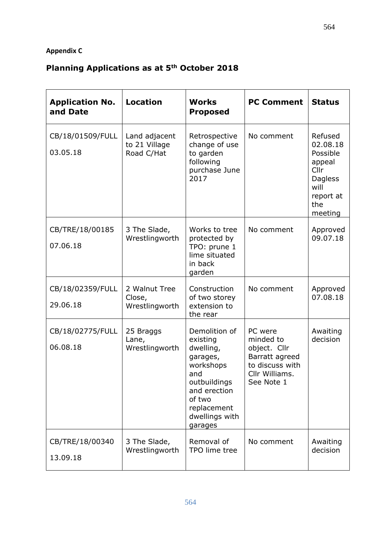## **Appendix C**

# **Planning Applications as at 5th October 2018**

| <b>Application No.</b><br>and Date | <b>Location</b>                              | <b>Works</b><br><b>Proposed</b>                                                                                                                              | <b>PC Comment</b>                                                                                        | <b>Status</b>                                                                                       |
|------------------------------------|----------------------------------------------|--------------------------------------------------------------------------------------------------------------------------------------------------------------|----------------------------------------------------------------------------------------------------------|-----------------------------------------------------------------------------------------------------|
| CB/18/01509/FULL<br>03.05.18       | Land adjacent<br>to 21 Village<br>Road C/Hat | Retrospective<br>change of use<br>to garden<br>following<br>purchase June<br>2017                                                                            | No comment                                                                                               | Refused<br>02.08.18<br>Possible<br>appeal<br>Cllr<br>Dagless<br>will<br>report at<br>the<br>meeting |
| CB/TRE/18/00185<br>07.06.18        | 3 The Slade,<br>Wrestlingworth               | Works to tree<br>protected by<br>TPO: prune 1<br>lime situated<br>in back<br>garden                                                                          | No comment                                                                                               | Approved<br>09.07.18                                                                                |
| CB/18/02359/FULL<br>29.06.18       | 2 Walnut Tree<br>Close,<br>Wrestlingworth    | Construction<br>of two storey<br>extension to<br>the rear                                                                                                    | No comment                                                                                               | Approved<br>07.08.18                                                                                |
| CB/18/02775/FULL<br>06.08.18       | 25 Braggs<br>Lane,<br>Wrestlingworth         | Demolition of<br>existing<br>dwelling,<br>garages,<br>workshops<br>and<br>outbuildings<br>and erection<br>of two<br>replacement<br>dwellings with<br>garages | PC were<br>minded to<br>object. Cllr<br>Barratt agreed<br>to discuss with<br>Cllr Williams<br>See Note 1 | Awaiting<br>decision                                                                                |
| CB/TRE/18/00340<br>13.09.18        | 3 The Slade,<br>Wrestlingworth               | Removal of<br>TPO lime tree                                                                                                                                  | No comment                                                                                               | Awaiting<br>decision                                                                                |